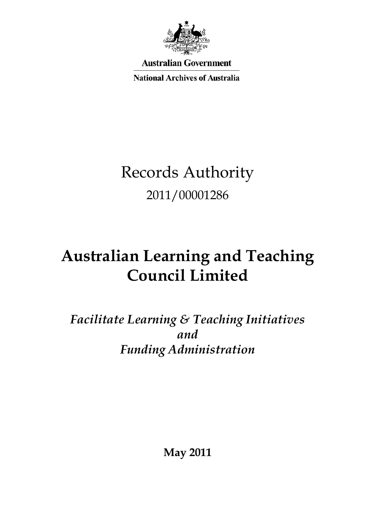

**Australian Government** 

**National Archives of Australia** 

# Records Authority<br>2011/00001286 2011/00001286

# **Council LimitedAustralian Learning and Teaching**

 *Facilitate Learning & Teaching Initiatives* and *andFunding Administration*

**May 2011**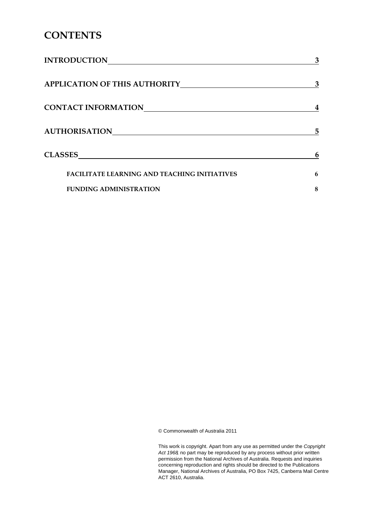## **CONTENTS**

| <b>INTRODUCTION</b>                                 | 3 |
|-----------------------------------------------------|---|
| <b>APPLICATION OF THIS AUTHORITY</b>                | 3 |
| <b>CONTACT INFORMATION</b>                          |   |
| <b>AUTHORISATION</b>                                | 5 |
| <b>CLASSES</b>                                      | 6 |
| <b>FACILITATE LEARNING AND TEACHING INITIATIVES</b> | 6 |
| <b>FUNDING ADMINISTRATION</b>                       | 8 |

© Commonwealth of Australia 2011

© Commonwealth of Australia 2011<br>This work is copyright. Apart from any use as permitted under the *Copyright Act 1968,* no part may be reproduced by any process without prior written permission from the National Archives of Australia. Requests and inquiries concerning reproduction and rights should be directed to the Publications Manager, National Archives of Australia, PO Box 7425, Canberra Mail Centre ACT 2610, Australia.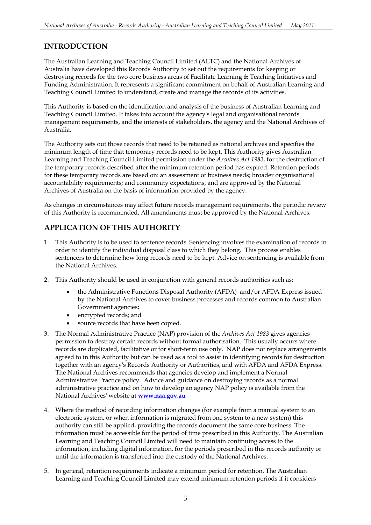#### **INTRODUCTION**

 The Australian Learning and Teaching Council Limited (ALTC) and the National Archives of Australia have developed this Records Authority to set out the requirements for keeping or destroying records for the two core business areas of Facilitate Learning & Teaching Initiatives and Funding Administration. It represents a significant commitment on behalf of Australian Learning and Teaching Council Limited to understand, create and manage the records of its activities.

 This Authority is based on the identification and analysis of the business of Australian Learning and Teaching Council Limited. It takes into account the agency's legal and organisational records management requirements, and the interests of stakeholders, the agency and the National Archives of Australia.

 The Authority sets out those records that need to be retained as national archives and specifies the minimum length of time that temporary records need to be kept. This Authority gives Australian Learning and Teaching Council Limited permission under the *Archives Act 1983*, for the destruction of the temporary records described after the minimum retention period has expired. Retention periods for these temporary records are based on: an assessment of business needs; broader organisational accountability requirements; and community expectations, and are approved by the National Archives of Australia on the basis of information provided by the agency.

 As changes in circumstances may affect future records management requirements, the periodic review of this Authority is recommended. All amendments must be approved by the National Archives.

#### **APPLICATION OF THIS AUTHORITY**

- 1.This Authority is to be used to sentence records. Sentencing involves the examination of records in order to identify the individual disposal class to which they belong. This process enables sentencers to determine how long records need to be kept. Advice on sentencing is available from the National Archives.
- 2. This Authority should be used in conjunction with general records authorities such as:
	- the Administrative Functions Disposal Authority (AFDA) and/or AFDA Express issued by the National Archives to cover business processes and records common to Australian Government agencies;
	- encrypted records; and
	- source records that have been copied.
- 3.The Normal Administrative Practice (NAP) provision of the *Archives Act 1983* gives agencies permission to destroy certain records without formal authorisation. This usually occurs where records are duplicated, facilitative or for short-term use only. NAP does not replace arrangements agreed to in this Authority but can be used as a tool to assist in identifying records for destruction together with an agency's Records Authority or Authorities, and with AFDA and AFDA Express. The National Archives recommends that agencies develop and implement a Normal Administrative Practice policy. Advice and guidance on destroying records as a normal administrative practice and on how to develop an agency NAP policy is available from the National Archives' website at **[www.naa.gov.au](http://www.naa.gov.au/)**
- 4.Where the method of recording information changes (for example from a manual system to an electronic system, or when information is migrated from one system to a new system) this authority can still be applied, providing the records document the same core business. The information must be accessible for the period of time prescribed in this Authority. The Australian Learning and Teaching Council Limited will need to maintain continuing access to the information, including digital information, for the periods prescribed in this records authority or until the information is transferred into the custody of the National Archives.
- 5. In general, retention requirements indicate a minimum period for retention. The Australian Learning and Teaching Council Limited may extend minimum retention periods if it considers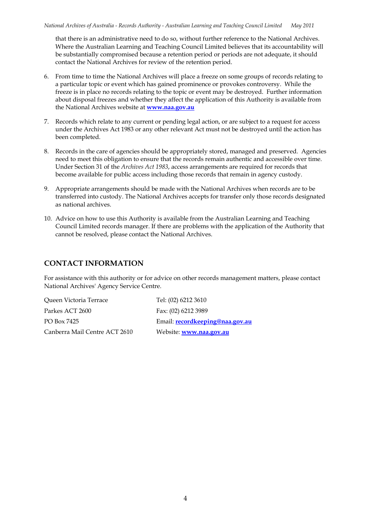that there is an administrative need to do so, without further reference to the National Archives. Where the Australian Learning and Teaching Council Limited believes that its accountability will be substantially compromised because a retention period or periods are not adequate, it should contact the National Archives for review of the retention period.

- 6. From time to time the National Archives will place a freeze on some groups of records relating to a particular topic or event which has gained prominence or provokes controversy. While the freeze is in place no records relating to the topic or event may be destroyed. Further information about disposal freezes and whether they affect the application of this Authority is available from the National Archives website at **[www.naa.gov.au](http://www.naa.gov.au/)**
- 7. Records which relate to any current or pending legal action, or are subject to a request for access under the Archives Act 1983 or any other relevant Act must not be destroyed until the action has been completed.
- 8. Records in the care of agencies should be appropriately stored, managed and preserved. Agencies need to meet this obligation to ensure that the records remain authentic and accessible over time. Under Section 31 of the *Archives Act 1983*, access arrangements are required for records that become available for public access including those records that remain in agency custody.
- 9. Appropriate arrangements should be made with the National Archives when records are to be transferred into custody. The National Archives accepts for transfer only those records designated as national archives.
- 10. Advice on how to use this Authority is available from the Australian Learning and Teaching Council Limited records manager. If there are problems with the application of the Authority that cannot be resolved, please contact the National Archives.

#### **CONTACT INFORMATION**

 For assistance with this authority or for advice on other records management matters, please contact National Archives' Agency Service Centre.

 Queen Victoria Terrace Tel: (02) 6212 3610 Parkes ACT 2600 PO Box 7425 Canberra Mail Centre ACT 2610 Website: **[www.naa.gov.au](http://www.naa.gov.au/)** 

Fax: (02) 6212 3989 Email: **recordkeeping@naa.gov.au**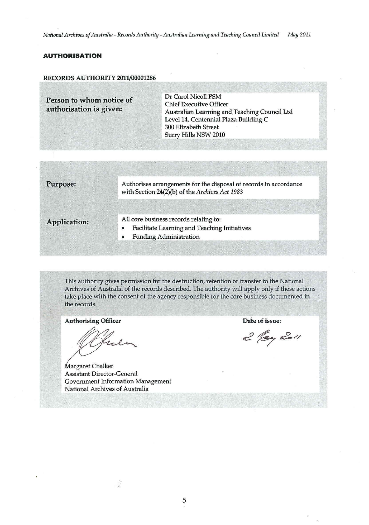#### **AUTHORISATION**

#### RECORDS AUTHORITY 2011/00001286

**Person to whom notice of Chief Executive Officer<br>
authorisation is given:**<br>
Australian Learning and 300 Elizabeth Street Surry Hills NSW 2010 Australian Learning and Teaching Council Ltd Level 14, Centennial Plaza Building C

Purpose: Authorises arrangements for the disposal of records in accordance with Section 24(2)(b) of the *Archives Act 1983* 

- All core business records relating to:<br>Facilitate Learning and Teaching
	- Facilitate Learning and Teaching Initiatives
	- Funding Administration

This authority gives permission for the destruction, retention or transfer to the National Archives of Australia of the records described. The authority will apply only if these actions take place with the consent of the agency responsible for the core business documented in the records.

Authorising Officer **Date of issue:** 

*£1*  uli

Margaret Chalker Assistant Director-General Government Information Management National Archives of Australia

2 log 2011

5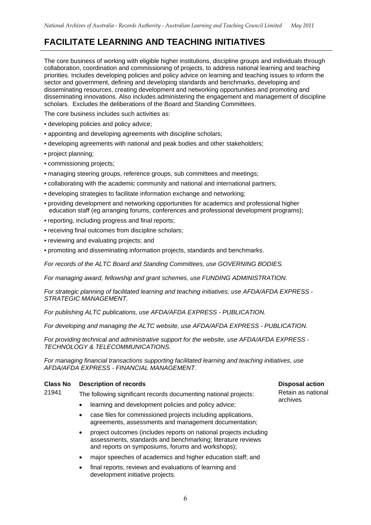## <span id="page-5-0"></span>**FACILITATE LEARNING AND TEACHING INITIATIVES**

 The core business of working with eligible higher institutions, discipline groups and individuals through collaboration, coordination and commissioning of projects, to address national learning and teaching priorities. Includes developing policies and policy advice on learning and teaching issues to inform the disseminating resources, creating development and networking opportunities and promoting and disseminating innovations. Also includes administering the engagement and management of discipline scholars. Excludes the deliberations of the Board and Standing Committees. sector and government, defining and developing standards and benchmarks, developing and

The core business includes such activities as:

- developing policies and policy advice;
- appointing and developing agreements with discipline scholars;
- developing agreements with national and peak bodies and other stakeholders;
- project planning;
- commissioning projects;
- managing steering groups, reference groups, sub committees and meetings;
- collaborating with the academic community and national and international partners;
- developing strategies to facilitate information exchange and networking;
- • providing development and networking opportunities for academics and professional higher education staff (eg arranging forums, conferences and professional development programs);
- reporting, including progress and final reports;
- receiving final outcomes from discipline scholars;
- reviewing and evaluating projects; and
- promoting and disseminating information projects, standards and benchmarks.

 *For records of the ALTC Board and Standing Committees, use GOVERNING BODIES.* 

 *For managing award, fellowship and grant schemes, use FUNDING ADMINISTRATION.* 

 *For strategic planning of facilitated learning and teaching initiatives, use AFDA/AFDA EXPRESS*  **STRATEGIC MANAGEMENT.** 

*STRATEGIC MANAGEMENT. For publishing ALTC publications, use AFDA/AFDA EXPRESS - PUBLICATION.* 

 *For developing and managing the ALTC website, use AFDA/AFDA EXPRESS - PUBLICATION.* 

 *For providing technical and administrative support for the website, use AFDA/AFDA EXPRESS TECHNOLOGY & TELECOMMUNICATIONS.* 

*For managing financial transactions supporting facilitated learning and teaching initiatives, use AFDA/AFDA EXPRESS - FINANCIAL MANAGEMENT.* 

#### **Class No Description of records** and the conduction of the conduction of the conduction  $\mathbf{D}$  becomes  $\mathbf{D}$

- 21941 The following significant records documenting national projects:<br>Retain as national
	- learning and development policies and policy advice;<br>• learning and development policies and policy advice;  $\bullet$
	- case files for commissioned projects including applications, • case files for commissioned projects including applications,<br>agreements, assessments and management documentation;
	- •project outcomes (includes reports on national projects including assessments, standards and benchmarking; literature reviews and reports on symposiums, forums and workshops);
	- •major speeches of academics and higher education staff; and
	- •final reports, reviews and evaluations of learning and development initiative projects.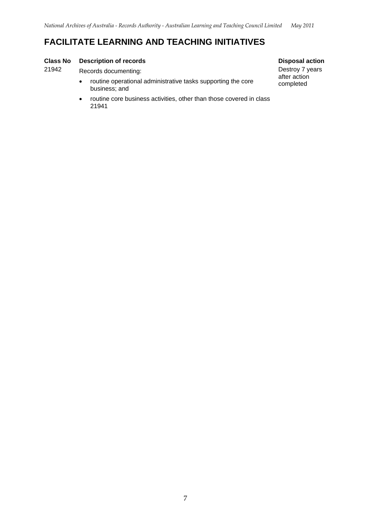### **FACILITATE LEARNING AND TEACHING INITIATIVES**

#### **Class No Description of records** and the conduction of the conduction of the conduction  $\mathbf{D}$  becomes  $\mathbf{D}$

21942 Records documenting: **Destroy 7 years** 

- $\bullet$ routine operational administrative tasks supporting the core completed business; and
- routine core business activities, other than those covered in class  $\bullet$ 21941

Destroy 7 years<br>after action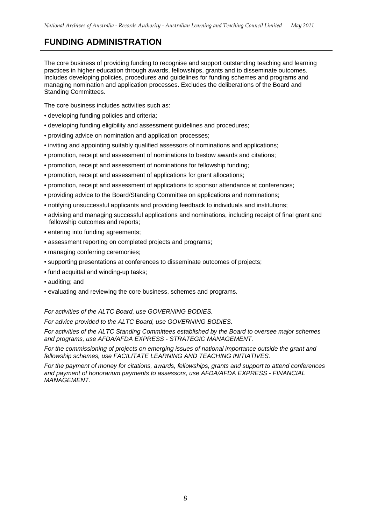## <span id="page-7-0"></span>**FUNDING ADMINISTRATION**

 The core business of providing funding to recognise and support outstanding teaching and learning practices in higher education through awards, fellowships, grants and to disseminate outcomes. Includes developing policies, procedures and guidelines for funding schemes and programs and managing nomination and application processes. Excludes the deliberations of the Board and Standing Committees.

Standing Committees.<br>The core business includes activities such as:

- developing funding policies and criteria;
- developing funding eligibility and assessment guidelines and procedures;
- providing advice on nomination and application processes;
- inviting and appointing suitably qualified assessors of nominations and applications;
- promotion, receipt and assessment of nominations to bestow awards and citations;
- promotion, receipt and assessment of nominations for fellowship funding;
- promotion, receipt and assessment of applications for grant allocations;
- promotion, receipt and assessment of applications to sponsor attendance at conferences;
- providing advice to the Board/Standing Committee on applications and nominations;
- notifying unsuccessful applicants and providing feedback to individuals and institutions;
- • advising and managing successful applications and nominations, including receipt of final grant and fellowship outcomes and reports;
- entering into funding agreements;
- assessment reporting on completed projects and programs;
- managing conferring ceremonies;
- supporting presentations at conferences to disseminate outcomes of projects;
- fund acquittal and winding-up tasks;
- auditing; and
- evaluating and reviewing the core business, schemes and programs.

 *For activities of the ALTC Board, use GOVERNING BODIES.* 

 *For advice provided to the ALTC Board, use GOVERNING BODIES.* 

 *For activities of the ALTC Standing Committees established by the Board to oversee major schemes and programs, use AFDA/AFDA EXPRESS - STRATEGIC MANAGEMENT.* 

 *For the commissioning of projects on emerging issues of national importance outside the grant and fellowship schemes, use FACILITATE LEARNING AND TEACHING INITIATIVES.* 

 *For the payment of money for citations, awards, fellowships, grants and support to attend conferences and payment of honorarium payments to assessors, use AFDA/AFDA EXPRESS - FINANCIAL MANAGEMENT.*